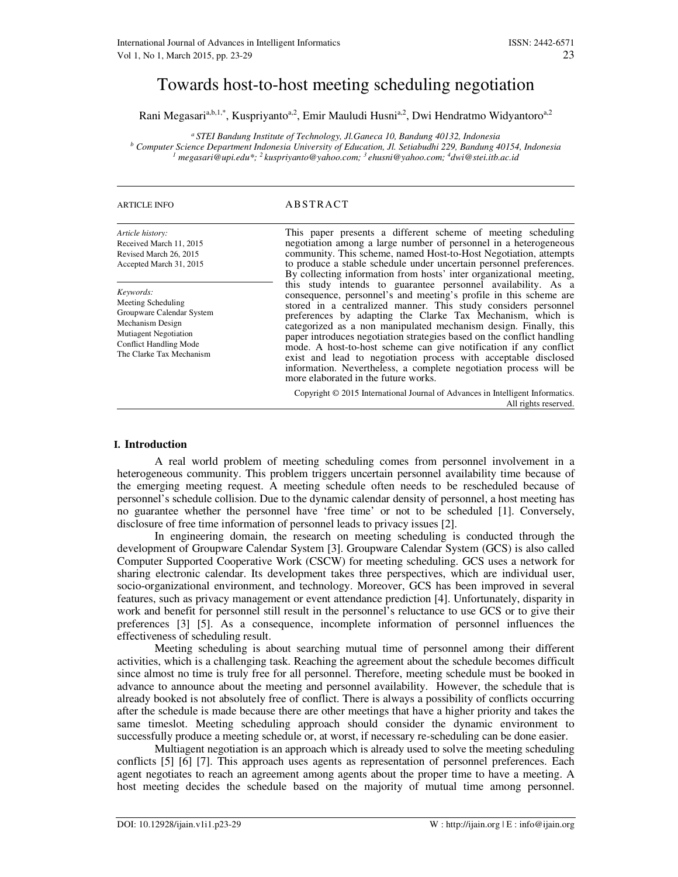# Towards host-to-host meeting scheduling negotiation

Rani Megasari<sup>a,b,1,\*</sup>, Kuspriyanto<sup>a,2</sup>, Emir Mauludi Husni<sup>a,2</sup>, Dwi Hendratmo Widyantoro<sup>a,2</sup>

*<sup>a</sup>STEI Bandung Institute of Technology, Jl.Ganeca 10, Bandung 40132, Indonesia b Computer Science Department Indonesia University of Education, Jl. Setiabudhi 229, Bandung 40154, Indonesia 1 megasari@upi.edu\*; <sup>2</sup>kuspriyanto@yahoo.com; <sup>3</sup>ehusni@yahoo.com; <sup>4</sup>dwi@stei.itb.ac.id*

#### ARTICLE INFO A BST R A CT

| Article history:<br>Received March 11, 2015<br>Revised March 26, 2015<br>Accepted March 31, 2015                                                                              | This paper presents a different scheme of meeting scheduling<br>negotiation among a large number of personnel in a heterogeneous<br>community. This scheme, named Host-to-Host Negotiation, attempts<br>to produce a stable schedule under uncertain personnel preferences.<br>By collecting information from hosts' inter organizational meeting,                                                                                                                                                                                                                                                                                                                   |
|-------------------------------------------------------------------------------------------------------------------------------------------------------------------------------|----------------------------------------------------------------------------------------------------------------------------------------------------------------------------------------------------------------------------------------------------------------------------------------------------------------------------------------------------------------------------------------------------------------------------------------------------------------------------------------------------------------------------------------------------------------------------------------------------------------------------------------------------------------------|
| Keywords:<br>Meeting Scheduling<br>Groupware Calendar System<br>Mechanism Design<br><b>Mutiagent Negotiation</b><br><b>Conflict Handling Mode</b><br>The Clarke Tax Mechanism | this study intends to guarantee personnel availability. As a<br>consequence, personnel's and meeting's profile in this scheme are<br>stored in a centralized manner. This study considers personnel<br>preferences by adapting the Clarke Tax Mechanism, which is<br>categorized as a non manipulated mechanism design. Finally, this<br>paper introduces negotiation strategies based on the conflict handling<br>mode. A host-to-host scheme can give notification if any conflict<br>exist and lead to negotiation process with acceptable disclosed<br>information. Nevertheless, a complete negotiation process will be<br>more elaborated in the future works. |
|                                                                                                                                                                               | Copyright © 2015 International Journal of Advances in Intelligent Informatics.<br>All rights reserved.                                                                                                                                                                                                                                                                                                                                                                                                                                                                                                                                                               |

## **I. Introduction**

 A real world problem of meeting scheduling comes from personnel involvement in a heterogeneous community. This problem triggers uncertain personnel availability time because of the emerging meeting request. A meeting schedule often needs to be rescheduled because of personnel's schedule collision. Due to the dynamic calendar density of personnel, a host meeting has no guarantee whether the personnel have 'free time' or not to be scheduled [1]. Conversely, disclosure of free time information of personnel leads to privacy issues [2].

 In engineering domain, the research on meeting scheduling is conducted through the development of Groupware Calendar System [3]. Groupware Calendar System (GCS) is also called Computer Supported Cooperative Work (CSCW) for meeting scheduling. GCS uses a network for sharing electronic calendar. Its development takes three perspectives, which are individual user, socio-organizational environment, and technology. Moreover, GCS has been improved in several features, such as privacy management or event attendance prediction [4]. Unfortunately, disparity in work and benefit for personnel still result in the personnel's reluctance to use GCS or to give their preferences [3] [5]. As a consequence, incomplete information of personnel influences the effectiveness of scheduling result.

 Meeting scheduling is about searching mutual time of personnel among their different activities, which is a challenging task. Reaching the agreement about the schedule becomes difficult since almost no time is truly free for all personnel. Therefore, meeting schedule must be booked in advance to announce about the meeting and personnel availability. However, the schedule that is already booked is not absolutely free of conflict. There is always a possibility of conflicts occurring after the schedule is made because there are other meetings that have a higher priority and takes the same timeslot. Meeting scheduling approach should consider the dynamic environment to successfully produce a meeting schedule or, at worst, if necessary re-scheduling can be done easier.

 Multiagent negotiation is an approach which is already used to solve the meeting scheduling conflicts [5] [6] [7]. This approach uses agents as representation of personnel preferences. Each agent negotiates to reach an agreement among agents about the proper time to have a meeting. A host meeting decides the schedule based on the majority of mutual time among personnel.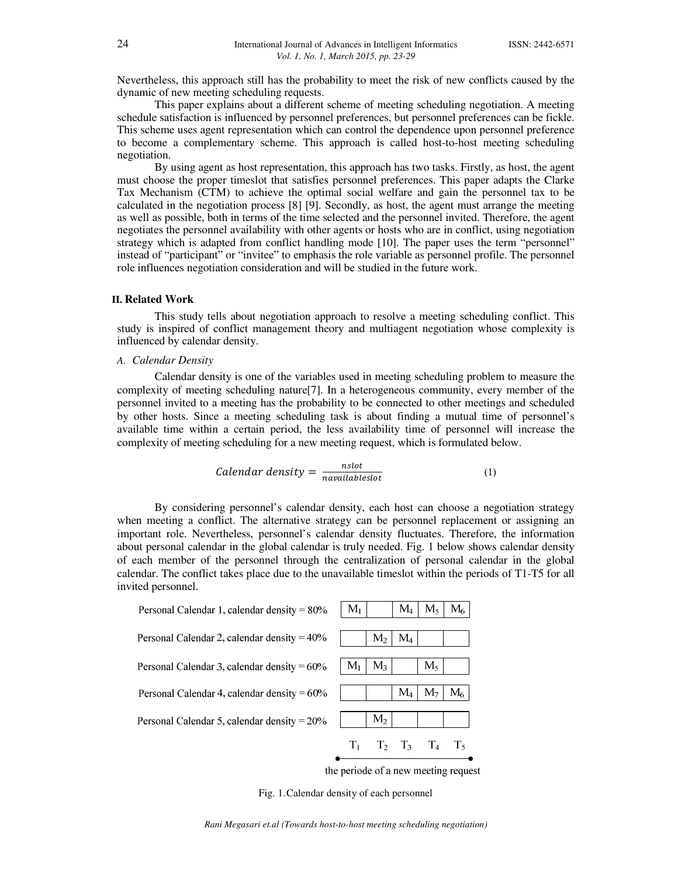Nevertheless, this approach still has the probability to meet the risk of new conflicts caused by the dynamic of new meeting scheduling requests.

This paper explains about a different scheme of meeting scheduling negotiation. A meeting schedule satisfaction is influenced by personnel preferences, but personnel preferences can be fickle. This scheme uses agent representation which can control the dependence upon personnel preference to become a complementary scheme. This approach is called host-to-host meeting scheduling negotiation.

 By using agent as host representation, this approach has two tasks. Firstly, as host, the agent must choose the proper timeslot that satisfies personnel preferences. This paper adapts the Clarke Tax Mechanism (CTM) to achieve the optimal social welfare and gain the personnel tax to be calculated in the negotiation process [8] [9]. Secondly, as host, the agent must arrange the meeting as well as possible, both in terms of the time selected and the personnel invited. Therefore, the agent negotiates the personnel availability with other agents or hosts who are in conflict, using negotiation strategy which is adapted from conflict handling mode [10]. The paper uses the term "personnel" instead of "participant" or "invitee" to emphasis the role variable as personnel profile. The personnel role influences negotiation consideration and will be studied in the future work.

### **II. Related Work**

 This study tells about negotiation approach to resolve a meeting scheduling conflict. This study is inspired of conflict management theory and multiagent negotiation whose complexity is influenced by calendar density.

#### *A. Calendar Density*

 Calendar density is one of the variables used in meeting scheduling problem to measure the complexity of meeting scheduling nature[7]. In a heterogeneous community, every member of the personnel invited to a meeting has the probability to be connected to other meetings and scheduled by other hosts. Since a meeting scheduling task is about finding a mutual time of personnel's available time within a certain period, the less availability time of personnel will increase the complexity of meeting scheduling for a new meeting request, which is formulated below.

$$
Calendar density = \frac{nslot}{navailableslot}
$$
 (1)

 By considering personnel's calendar density, each host can choose a negotiation strategy when meeting a conflict. The alternative strategy can be personnel replacement or assigning an important role. Nevertheless, personnel's calendar density fluctuates. Therefore, the information about personal calendar in the global calendar is truly needed. Fig. 1 below shows calendar density of each member of the personnel through the centralization of personal calendar in the global calendar. The conflict takes place due to the unavailable timeslot within the periods of T1-T5 for all invited personnel.

| Personal Calendar 1, calendar density = $80\%$ | $M_1$   |                | $M_4$        | $M_{5}$        | $\rm M_{\odot}$ |
|------------------------------------------------|---------|----------------|--------------|----------------|-----------------|
|                                                |         |                |              |                |                 |
| Personal Calendar 2, calendar density = $40\%$ |         | M <sub>2</sub> | $\rm M_{4}$  |                |                 |
| Personal Calendar 3, calendar density = $60\%$ | $M_{1}$ | M <sub>3</sub> |              | $M_{5}$        |                 |
|                                                |         |                |              |                |                 |
| Personal Calendar 4, calendar density = $60\%$ |         |                | $\rm M_4$    | M <sub>7</sub> |                 |
|                                                |         |                |              |                |                 |
| Personal Calendar 5, calendar density = $20\%$ |         | M <sub>2</sub> |              |                |                 |
|                                                |         | $\Gamma$       | $\mathbf{I}$ |                |                 |
|                                                |         |                |              |                |                 |

the periode of a new meeting request

Fig. 1.Calendar density of each personnel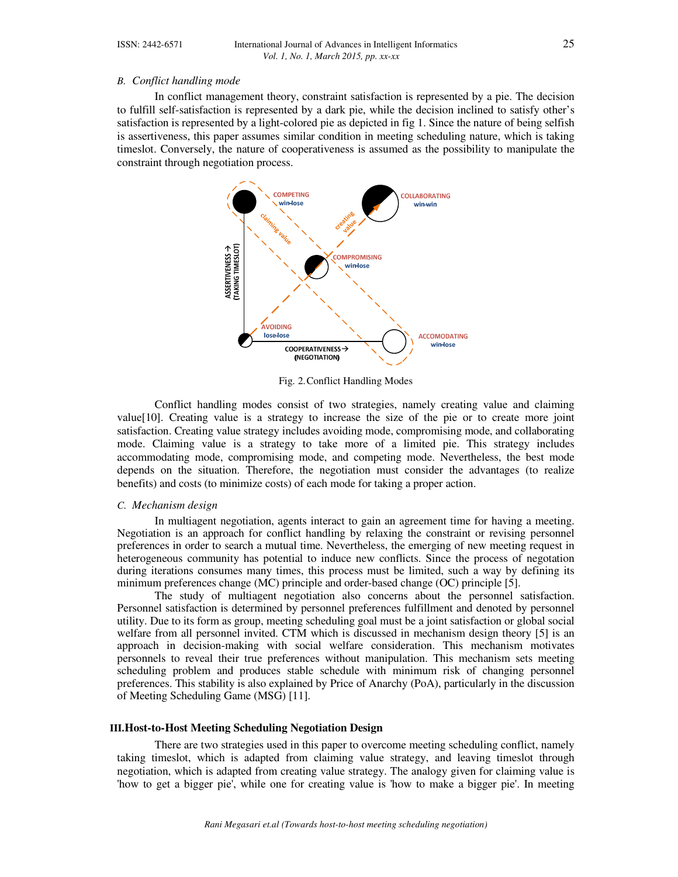# *B. Conflict handling mode*

 In conflict management theory, constraint satisfaction is represented by a pie. The decision to fulfill self-satisfaction is represented by a dark pie, while the decision inclined to satisfy other's satisfaction is represented by a light-colored pie as depicted in fig 1. Since the nature of being selfish is assertiveness, this paper assumes similar condition in meeting scheduling nature, which is taking timeslot. Conversely, the nature of cooperativeness is assumed as the possibility to manipulate the constraint through negotiation process.



Fig. 2.Conflict Handling Modes

Conflict handling modes consist of two strategies, namely creating value and claiming value[10]. Creating value is a strategy to increase the size of the pie or to create more joint satisfaction. Creating value strategy includes avoiding mode, compromising mode, and collaborating mode. Claiming value is a strategy to take more of a limited pie. This strategy includes accommodating mode, compromising mode, and competing mode. Nevertheless, the best mode depends on the situation. Therefore, the negotiation must consider the advantages (to realize benefits) and costs (to minimize costs) of each mode for taking a proper action.

#### *C. Mechanism design*

 In multiagent negotiation, agents interact to gain an agreement time for having a meeting. Negotiation is an approach for conflict handling by relaxing the constraint or revising personnel preferences in order to search a mutual time. Nevertheless, the emerging of new meeting request in heterogeneous community has potential to induce new conflicts. Since the process of negotation during iterations consumes many times, this process must be limited, such a way by defining its minimum preferences change (MC) principle and order-based change (OC) principle [5].

 The study of multiagent negotiation also concerns about the personnel satisfaction. Personnel satisfaction is determined by personnel preferences fulfillment and denoted by personnel utility. Due to its form as group, meeting scheduling goal must be a joint satisfaction or global social welfare from all personnel invited. CTM which is discussed in mechanism design theory [5] is an approach in decision-making with social welfare consideration. This mechanism motivates personnels to reveal their true preferences without manipulation. This mechanism sets meeting scheduling problem and produces stable schedule with minimum risk of changing personnel preferences. This stability is also explained by Price of Anarchy (PoA), particularly in the discussion of Meeting Scheduling Game (MSG) [11].

#### **III.Host-to-Host Meeting Scheduling Negotiation Design**

 There are two strategies used in this paper to overcome meeting scheduling conflict, namely taking timeslot, which is adapted from claiming value strategy, and leaving timeslot through negotiation, which is adapted from creating value strategy. The analogy given for claiming value is 'how to get a bigger pie', while one for creating value is 'how to make a bigger pie'. In meeting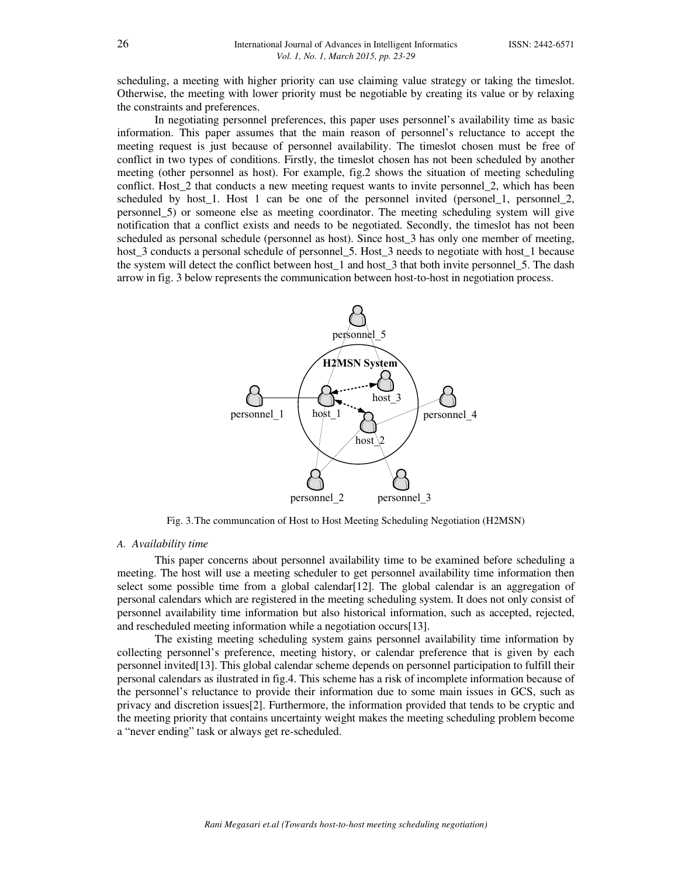scheduling, a meeting with higher priority can use claiming value strategy or taking the timeslot. Otherwise, the meeting with lower priority must be negotiable by creating its value or by relaxing the constraints and preferences.

 In negotiating personnel preferences, this paper uses personnel's availability time as basic information. This paper assumes that the main reason of personnel's reluctance to accept the meeting request is just because of personnel availability. The timeslot chosen must be free of conflict in two types of conditions. Firstly, the timeslot chosen has not been scheduled by another meeting (other personnel as host). For example, fig.2 shows the situation of meeting scheduling conflict. Host\_2 that conducts a new meeting request wants to invite personnel\_2, which has been scheduled by host\_1. Host 1 can be one of the personnel invited (personel\_1, personnel\_2, personnel\_5) or someone else as meeting coordinator. The meeting scheduling system will give notification that a conflict exists and needs to be negotiated. Secondly, the timeslot has not been scheduled as personal schedule (personnel as host). Since host\_3 has only one member of meeting, host 3 conducts a personal schedule of personnel 5. Host 3 needs to negotiate with host 1 because the system will detect the conflict between host\_1 and host\_3 that both invite personnel\_5. The dash arrow in fig. 3 below represents the communication between host-to-host in negotiation process.



Fig. 3.The communcation of Host to Host Meeting Scheduling Negotiation (H2MSN)

#### *A. Availability time*

 This paper concerns about personnel availability time to be examined before scheduling a meeting. The host will use a meeting scheduler to get personnel availability time information then select some possible time from a global calendar  $[12]$ . The global calendar is an aggregation of personal calendars which are registered in the meeting scheduling system. It does not only consist of personnel availability time information but also historical information, such as accepted, rejected, and rescheduled meeting information while a negotiation occurs[13].

 The existing meeting scheduling system gains personnel availability time information by collecting personnel's preference, meeting history, or calendar preference that is given by each personnel invited[13]. This global calendar scheme depends on personnel participation to fulfill their personal calendars as ilustrated in fig.4. This scheme has a risk of incomplete information because of the personnel's reluctance to provide their information due to some main issues in GCS, such as privacy and discretion issues[2]. Furthermore, the information provided that tends to be cryptic and the meeting priority that contains uncertainty weight makes the meeting scheduling problem become a "never ending" task or always get re-scheduled.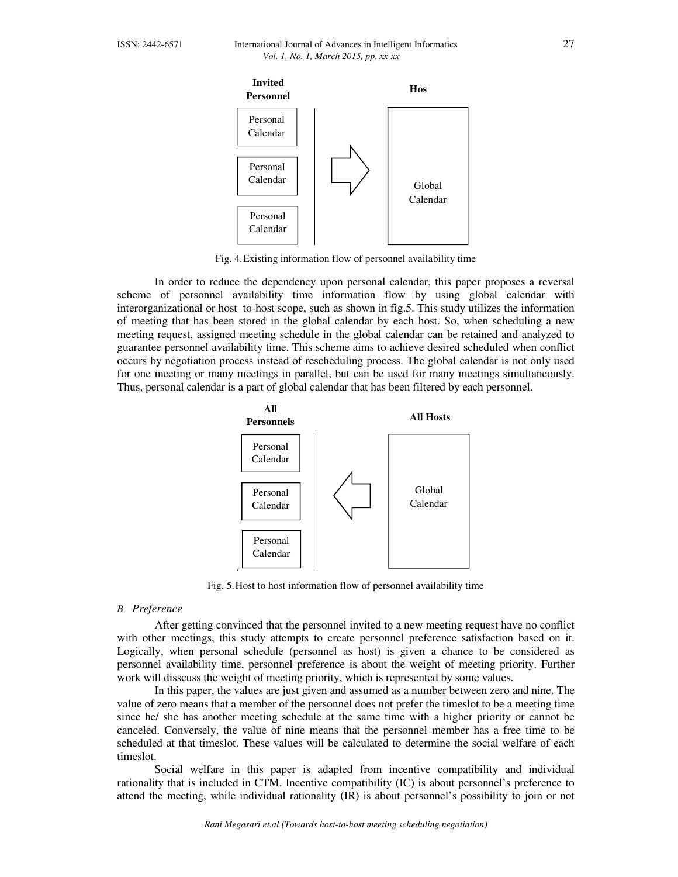

Fig. 4.Existing information flow of personnel availability time

 In order to reduce the dependency upon personal calendar, this paper proposes a reversal scheme of personnel availability time information flow by using global calendar with interorganizational or host–to-host scope, such as shown in fig.5. This study utilizes the information of meeting that has been stored in the global calendar by each host. So, when scheduling a new meeting request, assigned meeting schedule in the global calendar can be retained and analyzed to guarantee personnel availability time. This scheme aims to achieve desired scheduled when conflict occurs by negotiation process instead of rescheduling process. The global calendar is not only used for one meeting or many meetings in parallel, but can be used for many meetings simultaneously. Thus, personal calendar is a part of global calendar that has been filtered by each personnel.



Fig. 5.Host to host information flow of personnel availability time

# *B. Preference*

 After getting convinced that the personnel invited to a new meeting request have no conflict with other meetings, this study attempts to create personnel preference satisfaction based on it. Logically, when personal schedule (personnel as host) is given a chance to be considered as personnel availability time, personnel preference is about the weight of meeting priority. Further work will disscuss the weight of meeting priority, which is represented by some values.

 In this paper, the values are just given and assumed as a number between zero and nine. The value of zero means that a member of the personnel does not prefer the timeslot to be a meeting time since he/ she has another meeting schedule at the same time with a higher priority or cannot be canceled. Conversely, the value of nine means that the personnel member has a free time to be scheduled at that timeslot. These values will be calculated to determine the social welfare of each timeslot.

 Social welfare in this paper is adapted from incentive compatibility and individual rationality that is included in CTM. Incentive compatibility (IC) is about personnel's preference to attend the meeting, while individual rationality (IR) is about personnel's possibility to join or not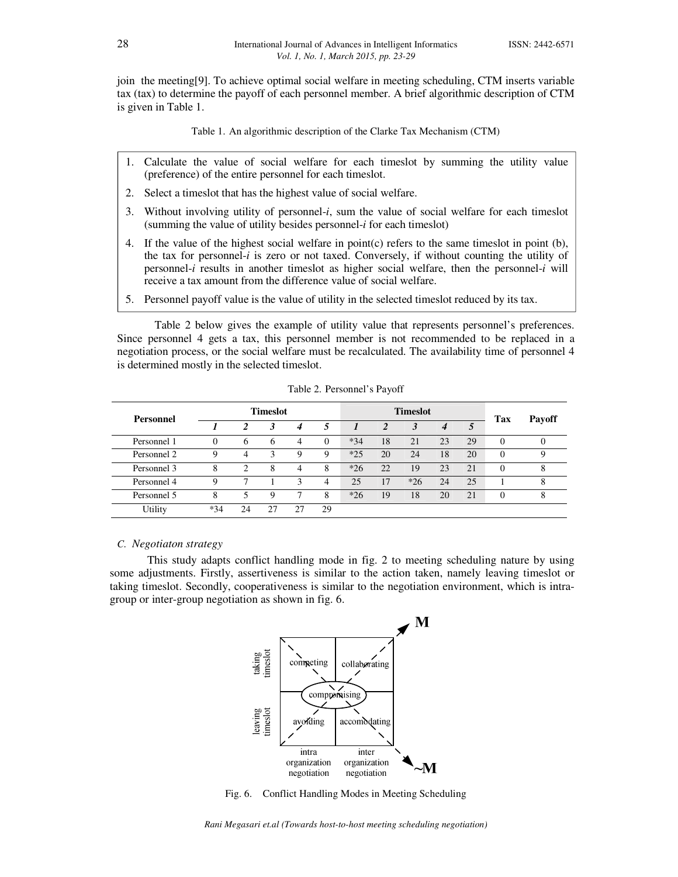join the meeting[9]. To achieve optimal social welfare in meeting scheduling, CTM inserts variable tax (tax) to determine the payoff of each personnel member. A brief algorithmic description of CTM is given in Table 1.

Table 1. An algorithmic description of the Clarke Tax Mechanism (CTM)

- 1. Calculate the value of social welfare for each timeslot by summing the utility value (preference) of the entire personnel for each timeslot.
- 2. Select a timeslot that has the highest value of social welfare.
- 3. Without involving utility of personnel-*i*, sum the value of social welfare for each timeslot (summing the value of utility besides personnel-*i* for each timeslot)
- 4. If the value of the highest social welfare in point(c) refers to the same timeslot in point (b), the tax for personnel-*i* is zero or not taxed. Conversely, if without counting the utility of personnel-*i* results in another timeslot as higher social welfare, then the personnel-*i* will receive a tax amount from the difference value of social welfare.
- 5. Personnel payoff value is the value of utility in the selected timeslot reduced by its tax.

 Table 2 below gives the example of utility value that represents personnel's preferences. Since personnel 4 gets a tax, this personnel member is not recommended to be replaced in a negotiation process, or the social welfare must be recalculated. The availability time of personnel 4 is determined mostly in the selected timeslot.

| Personnel   | <b>Timeslot</b> |              |    |                  |    | <b>Timeslot</b> |    |       |    |    | Tax      | <b>Payoff</b> |
|-------------|-----------------|--------------|----|------------------|----|-----------------|----|-------|----|----|----------|---------------|
|             |                 |              | 3  | $\boldsymbol{4}$ | 5  |                 |    |       | 4  |    |          |               |
| Personnel 1 | $\theta$        | <sub>6</sub> | 6  | 4                |    | $*34$           | 18 | 21    | 23 | 29 | $\Omega$ |               |
| Personnel 2 | Q               | 4            | 3  | $\mathbf Q$      | Q  | $*25$           | 20 | 24    | 18 | 20 | $\theta$ |               |
| Personnel 3 | 8               | ↑            | 8  |                  | 8  | $*26$           | 22 | 19    | 23 | 21 | $\Omega$ | 8             |
| Personnel 4 | Q               |              |    |                  | 4  | 25              | 17 | $*26$ | 24 | 25 |          |               |
| Personnel 5 | 8               | 5            | 9  |                  | 8  | $*26$           | 19 | 18    | 20 | 21 | $\theta$ | 8             |
| Utility     | $*34$           | 24           | 27 |                  | 29 |                 |    |       |    |    |          |               |

Table 2. Personnel's Payoff

#### *C. Negotiaton strategy*

This study adapts conflict handling mode in fig. 2 to meeting scheduling nature by using some adjustments. Firstly, assertiveness is similar to the action taken, namely leaving timeslot or taking timeslot. Secondly, cooperativeness is similar to the negotiation environment, which is intragroup or inter-group negotiation as shown in fig. 6.



Fig. 6. Conflict Handling Modes in Meeting Scheduling

*Rani Megasari et.al (Towards host-to-host meeting scheduling negotiation)*